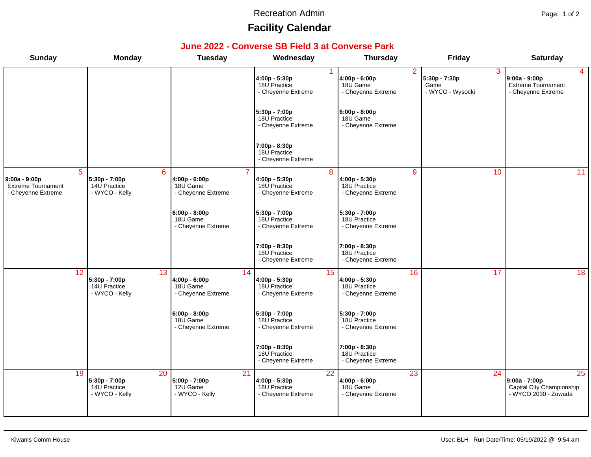#### Recreation Admin **Page: 1 of 2**

# **Facility Calendar**

### **June 2022 - Converse SB Field 3 at Converse Park**

| <b>Sunday</b>                                                               | <b>Monday</b>                                                      | <b>Tuesday</b>                                        | Wednesday                                                              | <b>Thursday</b>                                                       | Friday                                         | <b>Saturday</b>                                                                       |
|-----------------------------------------------------------------------------|--------------------------------------------------------------------|-------------------------------------------------------|------------------------------------------------------------------------|-----------------------------------------------------------------------|------------------------------------------------|---------------------------------------------------------------------------------------|
|                                                                             |                                                                    |                                                       | 4:00p - 5:30p<br>18U Practice<br>- Cheyenne Extreme                    | $\overline{2}$<br>$4:00p - 6:00p$<br>18U Game<br>- Cheyenne Extreme   | 3<br>5:30p - 7:30p<br>Game<br>- WYCO - Wysocki | $\overline{4}$<br>9:00a - 9:00p<br>Extreme Tournament<br>- Cheyenne Extreme           |
|                                                                             |                                                                    |                                                       | 5:30p - 7:00p<br>18U Practice<br>- Cheyenne Extreme                    | 6:00p - 8:00p <br>18U Game<br>- Cheyenne Extreme                      |                                                |                                                                                       |
|                                                                             |                                                                    |                                                       | 7:00p - 8:30p<br>18U Practice<br>- Cheyenne Extreme                    |                                                                       |                                                |                                                                                       |
| $\overline{5}$<br>9:00a - 9:00p<br>Extreme Tournament<br>- Cheyenne Extreme | $6\overline{6}$<br>5:30p - 7:00p<br>14U Practice<br>- WYCO - Kelly | 4:00p - 6:00p<br>18U Game<br>- Cheyenne Extreme       | 8<br>4:00p - 5:30p<br>18U Practice<br>- Cheyenne Extreme               | $\overline{9}$<br>4:00p - 5:30p<br>18U Practice<br>- Cheyenne Extreme | 10                                             | $\overline{11}$                                                                       |
|                                                                             |                                                                    | $6:00p - 8:00p$<br>18U Game<br>- Cheyenne Extreme     | 5:30p - 7:00p<br>18U Practice<br>- Cheyenne Extreme                    | 5:30p - 7:00p<br>18U Practice<br>- Cheyenne Extreme                   |                                                |                                                                                       |
|                                                                             |                                                                    |                                                       | 7:00p - 8:30p<br>18U Practice<br>- Cheyenne Extreme                    | 7:00p - 8:30p<br>18U Practice<br>- Cheyenne Extreme                   |                                                |                                                                                       |
| 12                                                                          | 13<br>5:30p - 7:00p<br>14U Practice<br>- WYCO - Kelly              | 14<br>4:00p - 6:00p<br>18U Game<br>- Cheyenne Extreme | 15<br>4:00p - 5:30p<br>18U Practice<br>- Cheyenne Extreme              | 16<br>4:00p - 5:30p<br>18U Practice<br>- Cheyenne Extreme             | 17                                             | $\overline{18}$                                                                       |
|                                                                             |                                                                    | $6:00p - 8:00p$<br>18U Game<br>- Cheyenne Extreme     | 5:30p - 7:00p<br>18U Practice<br>- Cheyenne Extreme                    | 5:30p - 7:00p<br>18U Practice<br>- Cheyenne Extreme                   |                                                |                                                                                       |
|                                                                             |                                                                    |                                                       | 7:00p - 8:30p<br>18U Practice<br>- Cheyenne Extreme                    | 7:00p - 8:30p<br>18U Practice<br>- Cheyenne Extreme                   |                                                |                                                                                       |
| 19                                                                          | $\overline{20}$<br>5:30p - 7:00p<br>14U Practice<br>- WYCO - Kelly | 21<br>5:00p - 7:00p<br>12U Game<br>- WYCO - Kelly     | $\overline{22}$<br>4:00p - 5:30p<br>18U Practice<br>- Cheyenne Extreme | 23<br>4:00p - 6:00p<br>18U Game<br>- Cheyenne Extreme                 | $\overline{24}$                                | $\overline{25}$<br>9:00a - 7:00p<br>Capital City Championship<br>- WYCO 2030 - Zowada |